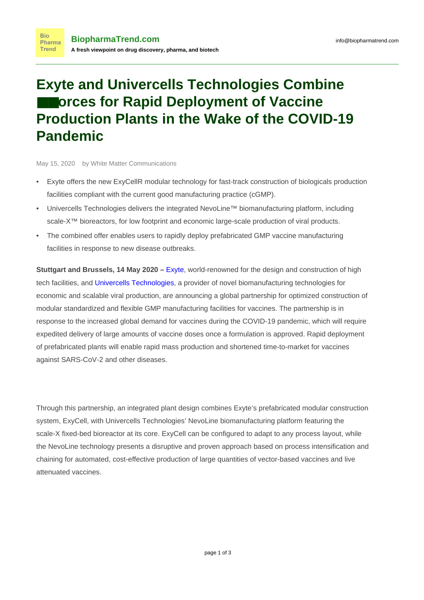## **Exyte and Univercells Technologies Combine** ■■**orces for Rapid Deployment of Vaccine Production Plants in the Wake of the COVID-19 Pandemic**

May 15, 2020 by White Matter Communications

**Bio** Pharma **Trend** 

- Exyte offers the new ExyCellR modular technology for fast-track construction of biologicals production facilities compliant with the current good manufacturing practice (cGMP).
- Univercells Technologies delivers the integrated NevoLine™ biomanufacturing platform, including scale-X<sup>™</sup> bioreactors, for low footprint and economic large-scale production of viral products.
- The combined offer enables users to rapidly deploy prefabricated GMP vaccine manufacturing facilities in response to new disease outbreaks.

**Stuttgart and Brussels, 14 May 2020 –** [Exyte](http://www.exyte.net/ExyCell), world-renowned for the design and construction of high tech facilities, and [Univercells Technologies](https://www.linkedin.com/company/univercells-technologies/), a provider of novel biomanufacturing technologies for economic and scalable viral production, are announcing a global partnership for optimized construction of modular standardized and flexible GMP manufacturing facilities for vaccines. The partnership is in response to the increased global demand for vaccines during the COVID-19 pandemic, which will require expedited delivery of large amounts of vaccine doses once a formulation is approved. Rapid deployment of prefabricated plants will enable rapid mass production and shortened time-to-market for vaccines against SARS-CoV-2 and other diseases.

Through this partnership, an integrated plant design combines Exyte's prefabricated modular construction system, ExyCell, with Univercells Technologies' NevoLine biomanufacturing platform featuring the scale-X fixed-bed bioreactor at its core. ExyCell can be configured to adapt to any process layout, while the NevoLine technology presents a disruptive and proven approach based on process intensification and chaining for automated, cost-effective production of large quantities of vector-based vaccines and live attenuated vaccines.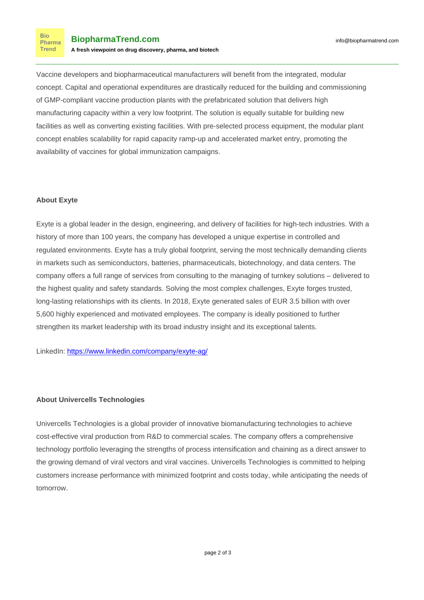**Bio** Pharma **Trend** 

Vaccine developers and biopharmaceutical manufacturers will benefit from the integrated, modular concept. Capital and operational expenditures are drastically reduced for the building and commissioning of GMP-compliant vaccine production plants with the prefabricated solution that delivers high manufacturing capacity within a very low footprint. The solution is equally suitable for building new facilities as well as converting existing facilities. With pre-selected process equipment, the modular plant concept enables scalability for rapid capacity ramp-up and accelerated market entry, promoting the availability of vaccines for global immunization campaigns.

## **About Exyte**

Exyte is a global leader in the design, engineering, and delivery of facilities for high-tech industries. With a history of more than 100 years, the company has developed a unique expertise in controlled and regulated environments. Exyte has a truly global footprint, serving the most technically demanding clients in markets such as semiconductors, batteries, pharmaceuticals, biotechnology, and data centers. The company offers a full range of services from consulting to the managing of turnkey solutions – delivered to the highest quality and safety standards. Solving the most complex challenges, Exyte forges trusted, long-lasting relationships with its clients. In 2018, Exyte generated sales of EUR 3.5 billion with over 5,600 highly experienced and motivated employees. The company is ideally positioned to further strengthen its market leadership with its broad industry insight and its exceptional talents.

LinkedIn:<https://www.linkedin.com/company/exyte-ag/>

## **About Univercells Technologies**

Univercells Technologies is a global provider of innovative biomanufacturing technologies to achieve cost-effective viral production from R&D to commercial scales. The company offers a comprehensive technology portfolio leveraging the strengths of process intensification and chaining as a direct answer to the growing demand of viral vectors and viral vaccines. Univercells Technologies is committed to helping customers increase performance with minimized footprint and costs today, while anticipating the needs of tomorrow.